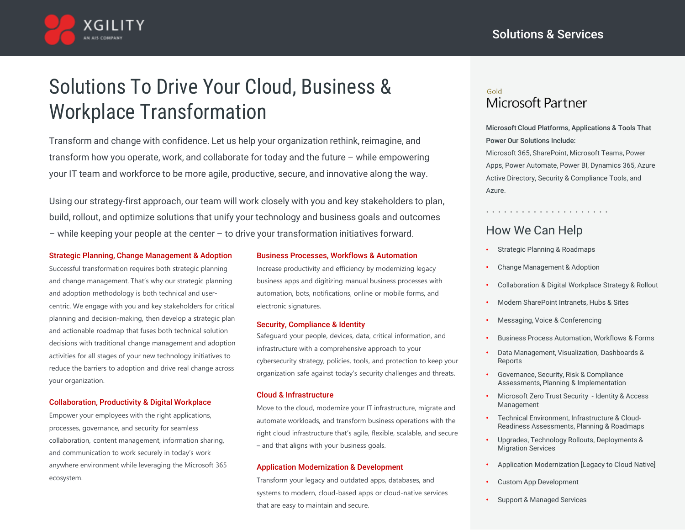

# Solutions To Drive Your Cloud, Business & Workplace Transformation

Transform and change with confidence. Let us help your organization rethink, reimagine, and transform how you operate, work, and collaborate for today and the future – while empowering your IT team and workforce to be more agile, productive, secure, and innovative along the way.

Using our strategy-first approach, our team will work closely with you and key stakeholders to plan, build, rollout, and optimize solutions that unify your technology and business goals and outcomes – while keeping your people at the center – to drive your transformation initiatives forward.

### Strategic Planning, Change Management & Adoption

Successful transformation requires both strategic planning and change management. That's why our strategic planning and adoption methodology is both technical and usercentric. We engage with you and key stakeholders for critical planning and decision-making, then develop a strategic plan and actionable roadmap that fuses both technical solution decisions with traditional change management and adoption activities for all stages of your new technology initiatives to reduce the barriers to adoption and drive real change across your organization.

### Collaboration, Productivity & Digital Workplace

Empower your employees with the right applications, processes, governance, and security for seamless collaboration, content management, information sharing, and communication to work securely in today's work anywhere environment while leveraging the Microsoft 365 ecosystem.

### Business Processes, Workflows & Automation

Increase productivity and efficiency by modernizing legacy business apps and digitizing manual business processes with automation, bots, notifications, online or mobile forms, and electronic signatures.

### Security, Compliance & Identity

Safeguard your people, devices, data, critical information, and infrastructure with a comprehensive approach to your cybersecurity strategy, policies, tools, and protection to keep your organization safe against today's security challenges and threats.

#### Cloud & Infrastructure

Move to the cloud, modernize your IT infrastructure, migrate and automate workloads, and transform business operations with the right cloud infrastructure that's agile, flexible, scalable, and secure – and that aligns with your business goals.

#### Application Modernization & Development

Transform your legacy and outdated apps, databases, and systems to modern, cloud-based apps or cloud-native services that are easy to maintain and secure.

### Gold Microsoft Partner

Microsoft Cloud Platforms, Applications & Tools That Power Our Solutions Include:

Microsoft 365, SharePoint, Microsoft Teams, Power Apps, Power Automate, Power BI, Dynamics 365, Azure Active Directory, Security & Compliance Tools, and Azure.

# How We Can Help

• Strategic Planning & Roadmaps

. . . . . . . . . . . . . . . . . . . . .

- Change Management & Adoption
- Collaboration & Digital Workplace Strategy & Rollout
- Modern SharePoint Intranets, Hubs & Sites
- Messaging, Voice & Conferencing
- Business Process Automation, Workflows & Forms
- Data Management, Visualization, Dashboards & Reports
- Governance, Security, Risk & Compliance Assessments, Planning & Implementation
- Microsoft Zero Trust Security Identity & Access Management
- Technical Environment, Infrastructure & Cloud-Readiness Assessments, Planning & Roadmaps
- Upgrades, Technology Rollouts, Deployments & Migration Services
- Application Modernization [Legacy to Cloud Native]
- Custom App Development
- Support & Managed Services